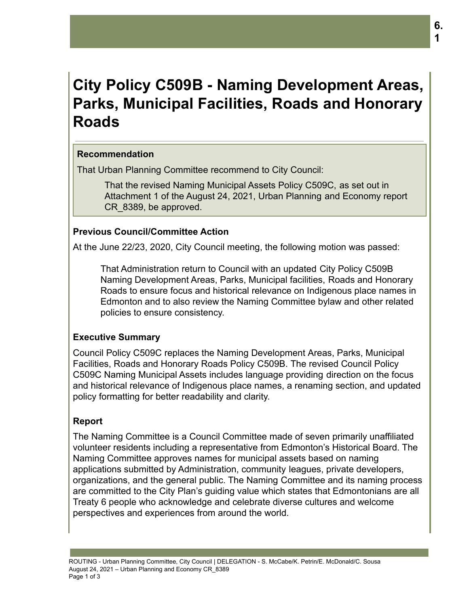# **City Policy C509B - Naming Development Areas, Parks, Municipal Facilities, Roads and Honorary Roads**

# **Recommendation**

That Urban Planning Committee recommend to City Council:

That the revised Naming Municipal Assets Policy C509C, as set out in Attachment 1 of the August 24, 2021, Urban Planning and Economy report CR\_8389, be approved.

## **Previous Council/Committee Action**

At the June 22/23, 2020, City Council meeting, the following motion was passed:

That Administration return to Council with an updated City Policy C509B Naming Development Areas, Parks, Municipal facilities, Roads and Honorary Roads to ensure focus and historical relevance on Indigenous place names in Edmonton and to also review the Naming Committee bylaw and other related policies to ensure consistency.

# **Executive Summary**

Council Policy C509C replaces the Naming Development Areas, Parks, Municipal Facilities, Roads and Honorary Roads Policy C509B. The revised Council Policy C509C Naming Municipal Assets includes language providing direction on the focus and historical relevance of Indigenous place names, a renaming section, and updated policy formatting for better readability and clarity.

# **Report**

The Naming Committee is a Council Committee made of seven primarily unaffiliated volunteer residents including a representative from Edmonton's Historical Board. The Naming Committee approves names for municipal assets based on naming applications submitted by Administration, community leagues, private developers, organizations, and the general public. The Naming Committee and its naming process are committed to the City Plan's guiding value which states that Edmontonians are all Treaty 6 people who acknowledge and celebrate diverse cultures and welcome perspectives and experiences from around the world.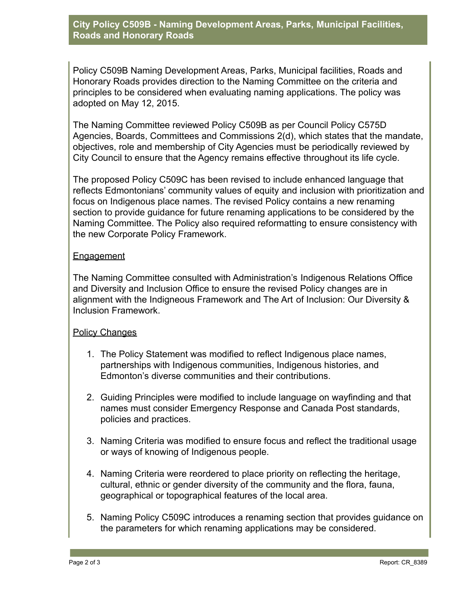**City Policy C509B - Naming Development Areas, Parks, Municipal Facilities, Roads and Honorary Roads**

Policy C509B Naming Development Areas, Parks, Municipal facilities, Roads and Honorary Roads provides direction to the Naming Committee on the criteria and principles to be considered when evaluating naming applications. The policy was adopted on May 12, 2015.

The Naming Committee reviewed Policy C509B as per Council Policy C575D Agencies, Boards, Committees and Commissions 2(d), which states that the mandate, objectives, role and membership of City Agencies must be periodically reviewed by City Council to ensure that the Agency remains effective throughout its life cycle.

The proposed Policy C509C has been revised to include enhanced language that reflects Edmontonians' community values of equity and inclusion with prioritization and focus on Indigenous place names. The revised Policy contains a new renaming section to provide guidance for future renaming applications to be considered by the Naming Committee. The Policy also required reformatting to ensure consistency with the new Corporate Policy Framework.

## **Engagement**

The Naming Committee consulted with Administration's Indigenous Relations Office and Diversity and Inclusion Office to ensure the revised Policy changes are in alignment with the Indigneous Framework and The Art of Inclusion: Our Diversity & Inclusion Framework.

#### Policy Changes

- 1. The Policy Statement was modified to reflect Indigenous place names, partnerships with Indigenous communities, Indigenous histories, and Edmonton's diverse communities and their contributions.
- 2. Guiding Principles were modified to include language on wayfinding and that names must consider Emergency Response and Canada Post standards, policies and practices.
- 3. Naming Criteria was modified to ensure focus and reflect the traditional usage or ways of knowing of Indigenous people.
- 4. Naming Criteria were reordered to place priority on reflecting the heritage, cultural, ethnic or gender diversity of the community and the flora, fauna, geographical or topographical features of the local area.
- 5. Naming Policy C509C introduces a renaming section that provides guidance on the parameters for which renaming applications may be considered.